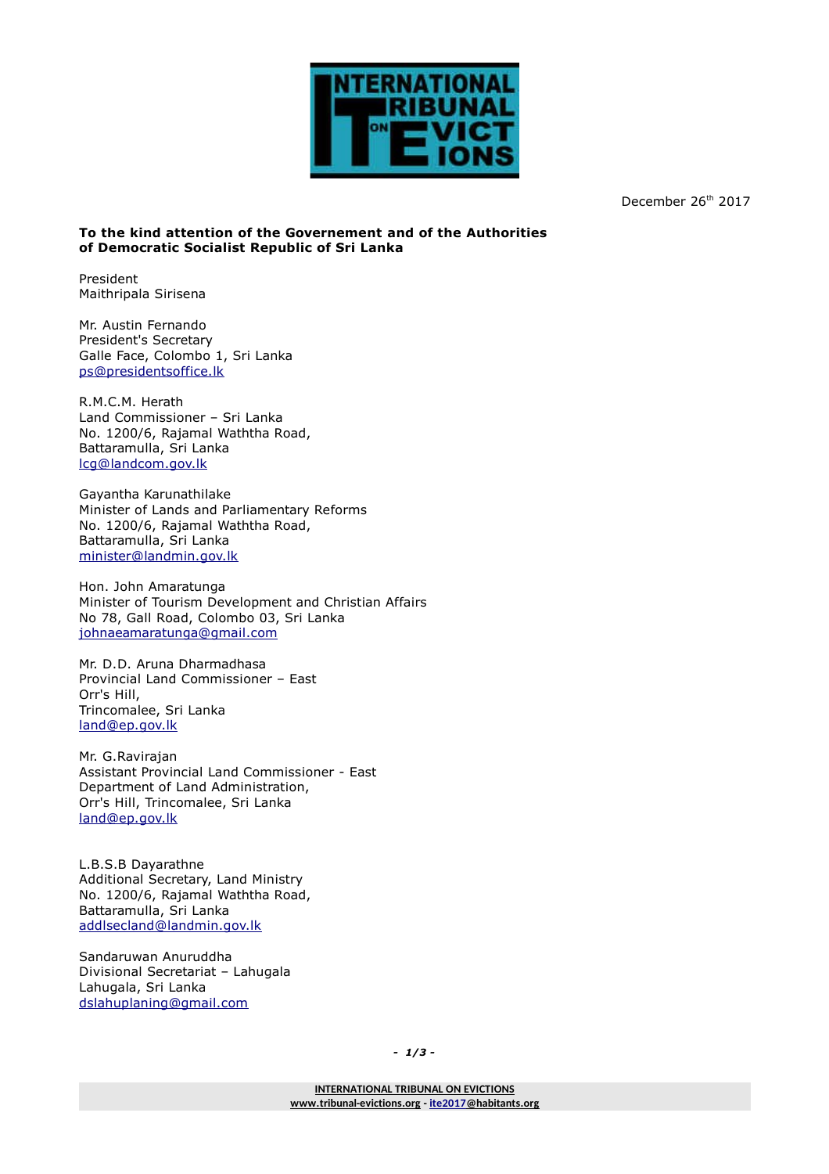

December 26<sup>th</sup> 2017

## **To the kind attention of the Governement and of the Authorities of Democratic Socialist Republic of Sri Lanka**

President Maithripala Sirisena

Mr. Austin Fernando President's Secretary Galle Face, Colombo 1, Sri Lanka [ps@presidentsoffice.lk](mailto:ps@presidentsoffice.lk)

R.M.C.M. Herath Land Commissioner – Sri Lanka No. 1200/6, Rajamal Waththa Road, Battaramulla, Sri Lanka [lcg@landcom.gov.lk](mailto:lcg@landcom.gov.lk)

Gayantha Karunathilake Minister of Lands and Parliamentary Reforms No. 1200/6, Rajamal Waththa Road, Battaramulla, Sri Lanka [minister@landmin.gov.lk](mailto:minister@landmin.gov.lk)

Hon. John Amaratunga Minister of Tourism Development and Christian Affairs No 78, Gall Road, Colombo 03, Sri Lanka [johnaeamaratunga@gmail.com](mailto:johnaeamaratunga@gmail.com)

Mr. D.D. Aruna Dharmadhasa Provincial Land Commissioner – East Orr's Hill, Trincomalee, Sri Lanka [land@ep.gov.lk](mailto:land@ep.gov.lk)

Mr. G.Ravirajan Assistant Provincial Land Commissioner - East Department of Land Administration, Orr's Hill, Trincomalee, Sri Lanka [land@ep.gov.lk](mailto:land@ep.gov.lk)

L.B.S.B Dayarathne Additional Secretary, Land Ministry No. 1200/6, Rajamal Waththa Road, Battaramulla, Sri Lanka [addlsecland@landmin.gov.lk](mailto:addlsecland@landmin.gov.lk)

Sandaruwan Anuruddha Divisional Secretariat – Lahugala Lahugala, Sri Lanka [dslahuplaning@gmail.com](mailto:dslahuplaning@gmail.com)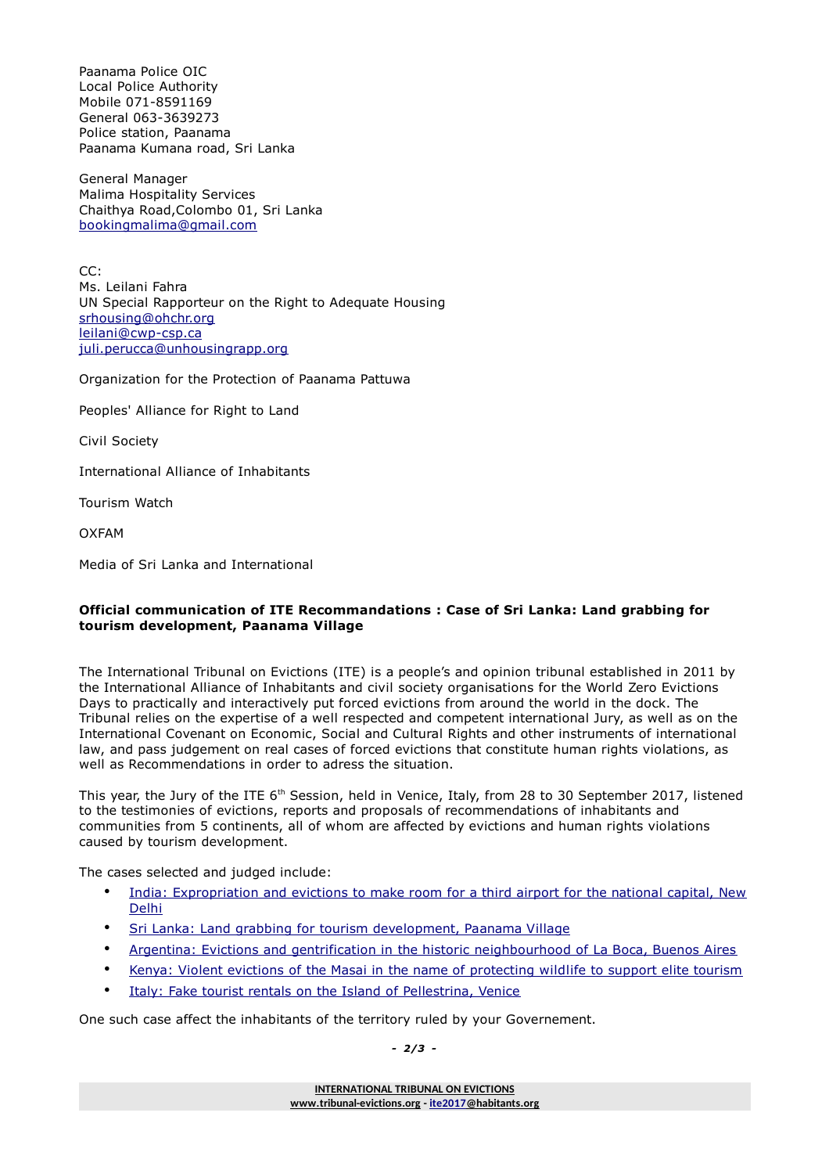Paanama Police OIC Local Police Authority Mobile 071-8591169 General 063-3639273 Police station, Paanama Paanama Kumana road, Sri Lanka

General Manager Malima Hospitality Services Chaithya Road,Colombo 01, Sri Lanka [bookingmalima@gmail.com](mailto:bookingmalima@gmail.com)

CC: Ms. Leilani Fahra UN Special Rapporteur on the Right to Adequate Housing [srhousing@ohchr.org](mailto:srhousing@ohchr.org) [leilani@cwp-csp.ca](mailto:leilani@cwp-csp.ca) [juli.perucca@unhousingrapp.org](mailto:juli.perucca@unhousingrapp.org)

Organization for the Protection of Paanama Pattuwa

Peoples' Alliance for Right to Land

Civil Society

International Alliance of Inhabitants

Tourism Watch

OXFAM

Media of Sri Lanka and International

## **Official communication of ITE Recommandations : Case of Sri Lanka: Land grabbing for tourism development, Paanama Village**

The International Tribunal on Evictions (ITE) is a people's and opinion tribunal established in 2011 by the International Alliance of Inhabitants and civil society organisations for the World Zero Evictions Days to practically and interactively put forced evictions from around the world in the dock. The Tribunal relies on the expertise of a well respected and competent international Jury, as well as on the International Covenant on Economic, Social and Cultural Rights and other instruments of international law, and pass judgement on real cases of forced evictions that constitute human rights violations, as well as Recommendations in order to adress the situation.

This vear, the Jury of the ITE 6<sup>th</sup> Session, held in Venice, Italy, from 28 to 30 September 2017, listened to the testimonies of evictions, reports and proposals of recommendations of inhabitants and communities from 5 continents, all of whom are affected by evictions and human rights violations caused by tourism development.

The cases selected and judged include:

- [India: Expropriation and evictions to make room for a third airport for the national capital, New](http://www.tribunal-evictions.org/international_tribunal_on_evictions/evictions_cases/6th_session_2017/case_from_india_new_delhi_the_third_airport_project_in_the_national_capital_region) [Delhi](http://www.tribunal-evictions.org/international_tribunal_on_evictions/evictions_cases/6th_session_2017/case_from_india_new_delhi_the_third_airport_project_in_the_national_capital_region)
- Sri Lanka: Land grabbing for tourism development, Paanama Village
- [Argentina: Evictions and gentrification in the historic neighbourhood of La Boca, Buenos Aires](http://www.tribunal-evictions.org/international_tribunal_on_evictions/evictions_cases/6th_session_2017/case_from_argentina_buenos_aires_evictions_and_gentrification_in_the_historic_and_tourist_neighbourhood_la_boca)
- [Kenya: Violent evictions of the Masai in the name of protecting wildlife to support elite tourism](http://www.tribunal-evictions.org/international_tribunal_on_evictions/evictions_cases/6th_session_2017/case_from_kenya_violent_evictions_of_the_masai_in_the_name_of_protecting_wildlife_to_support_elite_tourism)
- [Italy: Fake tourist rentals on the Island of Pellestrina, Venice](http://www.tribunal-evictions.org/international_tribunal_on_evictions/evictions_cases/6th_session_2017/case_from_italy_venice_fake_tourist_rentals_on_the_island_of_pellestrina_venice)

One such case affect the inhabitants of the territory ruled by your Governement.

*- 2/3 -*